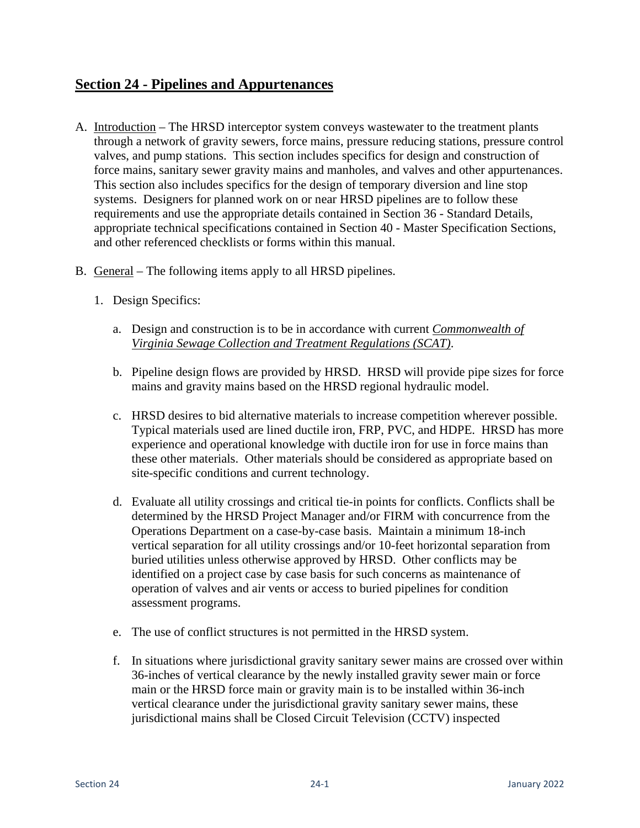# **Section 24 - Pipelines and Appurtenances**

- A. Introduction The HRSD interceptor system conveys wastewater to the treatment plants through a network of gravity sewers, force mains, pressure reducing stations, pressure control valves, and pump stations. This section includes specifics for design and construction of force mains, sanitary sewer gravity mains and manholes, and valves and other appurtenances. This section also includes specifics for the design of temporary diversion and line stop systems. Designers for planned work on or near HRSD pipelines are to follow these requirements and use the appropriate details contained in Section 36 - Standard Details, appropriate technical specifications contained in Section 40 - Master Specification Sections, and other referenced checklists or forms within this manual.
- B. General The following items apply to all HRSD pipelines.
	- 1. Design Specifics:
		- a. Design and construction is to be in accordance with current *Commonwealth of Virginia Sewage Collection and Treatment Regulations (SCAT)*.
		- b. Pipeline design flows are provided by HRSD. HRSD will provide pipe sizes for force mains and gravity mains based on the HRSD regional hydraulic model.
		- c. HRSD desires to bid alternative materials to increase competition wherever possible. Typical materials used are lined ductile iron, FRP, PVC, and HDPE. HRSD has more experience and operational knowledge with ductile iron for use in force mains than these other materials. Other materials should be considered as appropriate based on site-specific conditions and current technology.
		- d. Evaluate all utility crossings and critical tie-in points for conflicts. Conflicts shall be determined by the HRSD Project Manager and/or FIRM with concurrence from the Operations Department on a case-by-case basis. Maintain a minimum 18-inch vertical separation for all utility crossings and/or 10-feet horizontal separation from buried utilities unless otherwise approved by HRSD. Other conflicts may be identified on a project case by case basis for such concerns as maintenance of operation of valves and air vents or access to buried pipelines for condition assessment programs.
		- e. The use of conflict structures is not permitted in the HRSD system.
		- f. In situations where jurisdictional gravity sanitary sewer mains are crossed over within 36-inches of vertical clearance by the newly installed gravity sewer main or force main or the HRSD force main or gravity main is to be installed within 36-inch vertical clearance under the jurisdictional gravity sanitary sewer mains, these jurisdictional mains shall be Closed Circuit Television (CCTV) inspected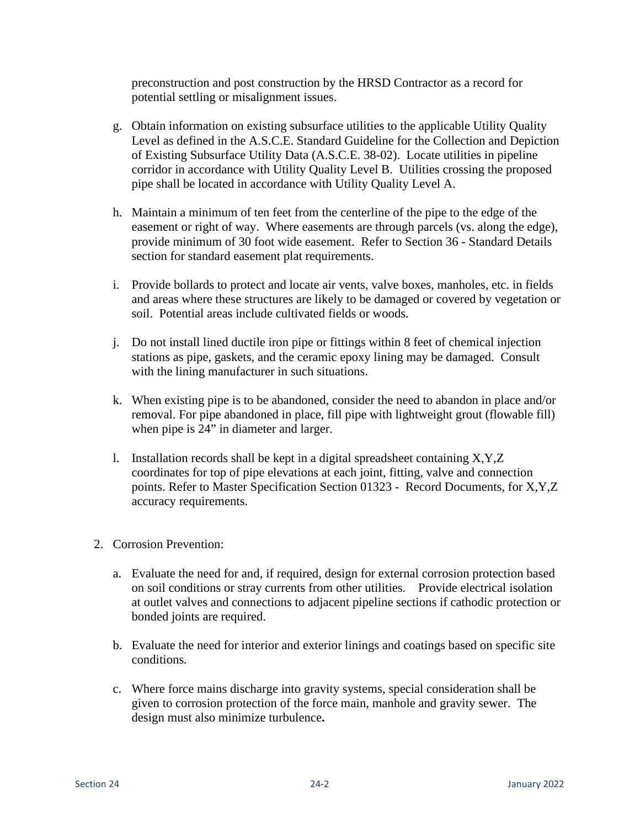preconstruction and post construction by the HRSD Contractor as a record for potential settling or misalignment issues.

- g. Obtain information on existing subsurface utilities to the applicable Utility Quality Level as defined in the A.S.C.E. Standard Guideline for the Collection and Depiction of Existing Subsurface Utility Data (A.S.C.E. 38-02). Locate utilities in pipeline corridor in accordance with Utility Quality Level B. Utilities crossing the proposed pipe shall be located in accordance with Utility Quality Level A.
- h. Maintain a minimum of ten feet from the centerline of the pipe to the edge of the easement or right of way. Where easements are through parcels (vs. along the edge), provide minimum of 30 foot wide easement. Refer to Section 36 - Standard Details section for standard easement plat requirements.
- i. Provide bollards to protect and locate air vents, valve boxes, manholes, etc. in fields and areas where these structures are likely to be damaged or covered by vegetation or soil. Potential areas include cultivated fields or woods.
- j. Do not install lined ductile iron pipe or fittings within 8 feet of chemical injection stations as pipe, gaskets, and the ceramic epoxy lining may be damaged. Consult with the lining manufacturer in such situations.
- k. When existing pipe is to be abandoned, consider the need to abandon in place and/or removal. For pipe abandoned in place, fill pipe with lightweight grout (flowable fill) when pipe is 24" in diameter and larger.
- l. Installation records shall be kept in a digital spreadsheet containing X,Y,Z coordinates for top of pipe elevations at each joint, fitting, valve and connection points. Refer to Master Specification Section 01323 - Record Documents, for X,Y,Z accuracy requirements.
- 2. Corrosion Prevention:
	- a. Evaluate the need for and, if required, design for external corrosion protection based on soil conditions or stray currents from other utilities*.* Provide electrical isolation at outlet valves and connections to adjacent pipeline sections if cathodic protection or bonded joints are required.
	- b. Evaluate the need for interior and exterior linings and coatings based on specific site conditions*.*
	- c. Where force mains discharge into gravity systems, special consideration shall be given to corrosion protection of the force main, manhole and gravity sewer. The design must also minimize turbulence**.**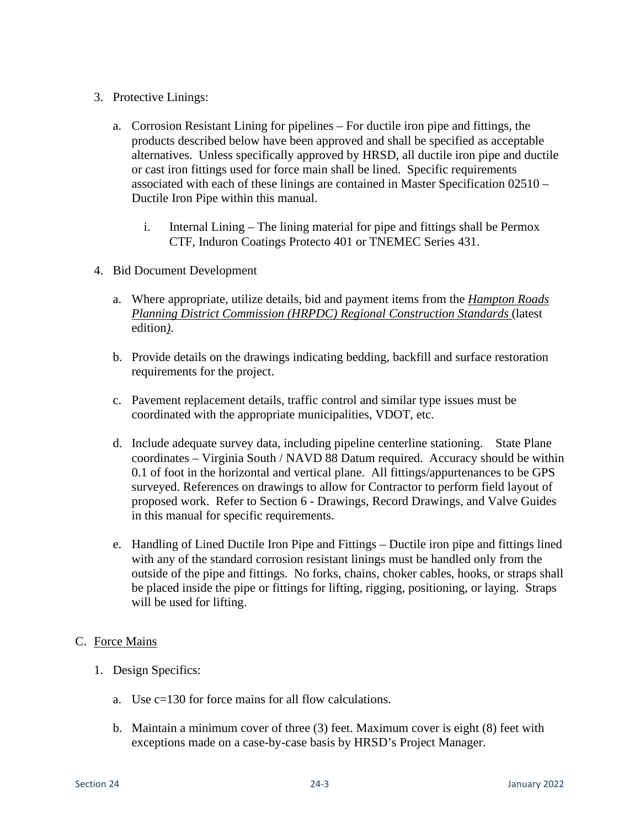- 3. Protective Linings:
	- a. Corrosion Resistant Lining for pipelines For ductile iron pipe and fittings, the products described below have been approved and shall be specified as acceptable alternatives. Unless specifically approved by HRSD, all ductile iron pipe and ductile or cast iron fittings used for force main shall be lined. Specific requirements associated with each of these linings are contained in Master Specification 02510 – Ductile Iron Pipe within this manual.
		- i. Internal Lining The lining material for pipe and fittings shall be Permox CTF, Induron Coatings Protecto 401 or TNEMEC Series 431.
- 4. Bid Document Development
	- a. Where appropriate, utilize details, bid and payment items from the *Hampton Roads Planning District Commission (HRPDC) Regional Construction Standards* (latest edition*)*.
	- b. Provide details on the drawings indicating bedding, backfill and surface restoration requirements for the project.
	- c. Pavement replacement details, traffic control and similar type issues must be coordinated with the appropriate municipalities, VDOT, etc.
	- d. Include adequate survey data, including pipeline centerline stationing. State Plane coordinates – Virginia South / NAVD 88 Datum required. Accuracy should be within 0.1 of foot in the horizontal and vertical plane. All fittings/appurtenances to be GPS surveyed. References on drawings to allow for Contractor to perform field layout of proposed work. Refer to Section 6 - Drawings, Record Drawings, and Valve Guides in this manual for specific requirements.
	- e. Handling of Lined Ductile Iron Pipe and Fittings Ductile iron pipe and fittings lined with any of the standard corrosion resistant linings must be handled only from the outside of the pipe and fittings. No forks, chains, choker cables, hooks, or straps shall be placed inside the pipe or fittings for lifting, rigging, positioning, or laying. Straps will be used for lifting.

### C. Force Mains

- 1. Design Specifics:
	- a. Use c=130 for force mains for all flow calculations.
	- b. Maintain a minimum cover of three (3) feet. Maximum cover is eight (8) feet with exceptions made on a case-by-case basis by HRSD's Project Manager.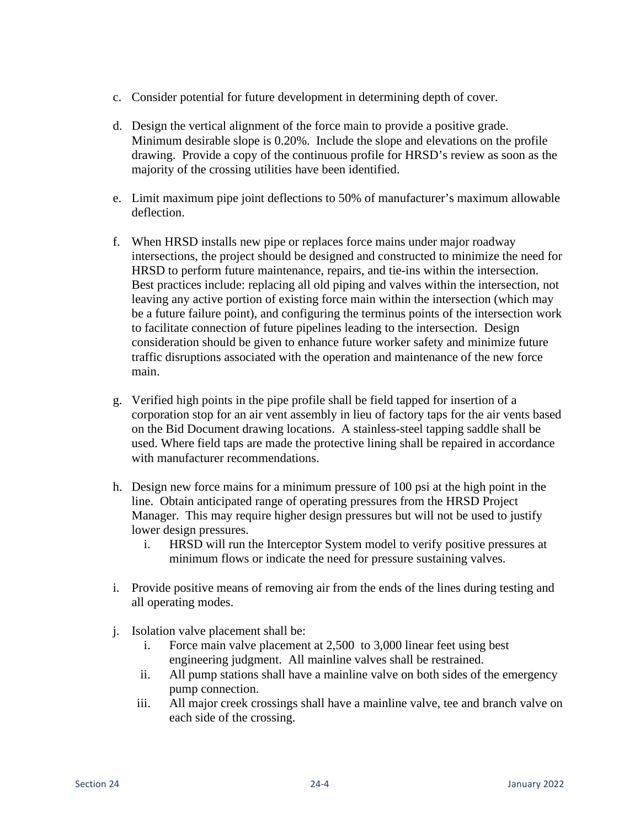- c. Consider potential for future development in determining depth of cover.
- d. Design the vertical alignment of the force main to provide a positive grade. Minimum desirable slope is 0.20%. Include the slope and elevations on the profile drawing. Provide a copy of the continuous profile for HRSD's review as soon as the majority of the crossing utilities have been identified.
- e. Limit maximum pipe joint deflections to 50% of manufacturer's maximum allowable deflection.
- f. When HRSD installs new pipe or replaces force mains under major roadway intersections, the project should be designed and constructed to minimize the need for HRSD to perform future maintenance, repairs, and tie-ins within the intersection. Best practices include: replacing all old piping and valves within the intersection, not leaving any active portion of existing force main within the intersection (which may be a future failure point), and configuring the terminus points of the intersection work to facilitate connection of future pipelines leading to the intersection. Design consideration should be given to enhance future worker safety and minimize future traffic disruptions associated with the operation and maintenance of the new force main.
- g. Verified high points in the pipe profile shall be field tapped for insertion of a corporation stop for an air vent assembly in lieu of factory taps for the air vents based on the Bid Document drawing locations. A stainless-steel tapping saddle shall be used. Where field taps are made the protective lining shall be repaired in accordance with manufacturer recommendations.
- h. Design new force mains for a minimum pressure of 100 psi at the high point in the line. Obtain anticipated range of operating pressures from the HRSD Project Manager. This may require higher design pressures but will not be used to justify lower design pressures.
	- i. HRSD will run the Interceptor System model to verify positive pressures at minimum flows or indicate the need for pressure sustaining valves.
- i. Provide positive means of removing air from the ends of the lines during testing and all operating modes.
- j. Isolation valve placement shall be:
	- i. Force main valve placement at 2,500 to 3,000 linear feet using best engineering judgment. All mainline valves shall be restrained.
	- ii. All pump stations shall have a mainline valve on both sides of the emergency pump connection.
	- iii. All major creek crossings shall have a mainline valve, tee and branch valve on each side of the crossing.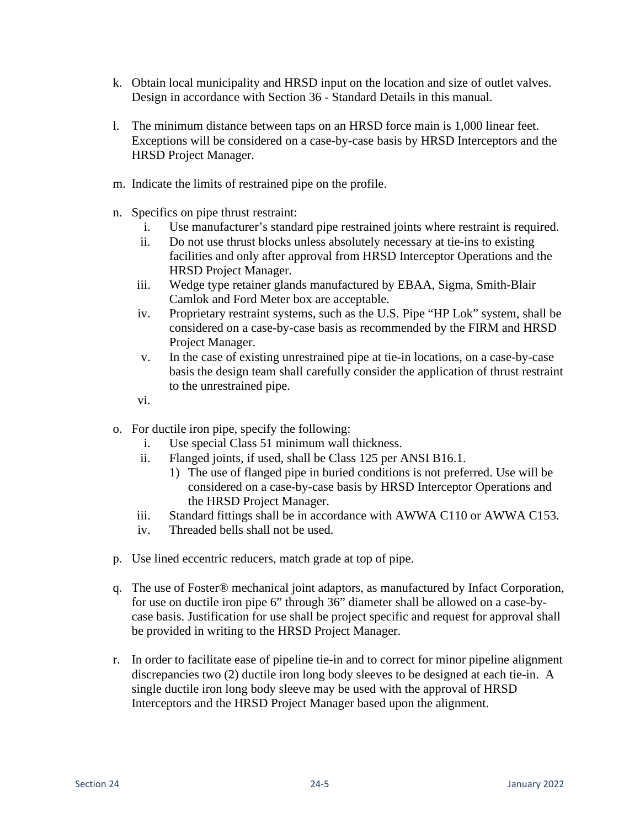- k. Obtain local municipality and HRSD input on the location and size of outlet valves. Design in accordance with Section 36 - Standard Details in this manual.
- l. The minimum distance between taps on an HRSD force main is 1,000 linear feet. Exceptions will be considered on a case-by-case basis by HRSD Interceptors and the HRSD Project Manager.
- m. Indicate the limits of restrained pipe on the profile.
- n. Specifics on pipe thrust restraint:
	- i. Use manufacturer's standard pipe restrained joints where restraint is required.
	- ii. Do not use thrust blocks unless absolutely necessary at tie-ins to existing facilities and only after approval from HRSD Interceptor Operations and the HRSD Project Manager.
	- iii. Wedge type retainer glands manufactured by EBAA, Sigma, Smith-Blair Camlok and Ford Meter box are acceptable.
	- iv. Proprietary restraint systems, such as the U.S. Pipe "HP Lok" system, shall be considered on a case-by-case basis as recommended by the FIRM and HRSD Project Manager.
	- v. In the case of existing unrestrained pipe at tie-in locations, on a case-by-case basis the design team shall carefully consider the application of thrust restraint to the unrestrained pipe.
	- vi.
- o. For ductile iron pipe, specify the following:
	- i. Use special Class 51 minimum wall thickness.
	- ii. Flanged joints, if used, shall be Class 125 per ANSI B16.1.
		- 1) The use of flanged pipe in buried conditions is not preferred. Use will be considered on a case-by-case basis by HRSD Interceptor Operations and the HRSD Project Manager.
	- iii. Standard fittings shall be in accordance with AWWA C110 or AWWA C153.
	- iv. Threaded bells shall not be used.
- p. Use lined eccentric reducers, match grade at top of pipe.
- q. The use of Foster® mechanical joint adaptors, as manufactured by Infact Corporation, for use on ductile iron pipe 6" through 36" diameter shall be allowed on a case-bycase basis. Justification for use shall be project specific and request for approval shall be provided in writing to the HRSD Project Manager.
- r. In order to facilitate ease of pipeline tie-in and to correct for minor pipeline alignment discrepancies two (2) ductile iron long body sleeves to be designed at each tie-in. A single ductile iron long body sleeve may be used with the approval of HRSD Interceptors and the HRSD Project Manager based upon the alignment.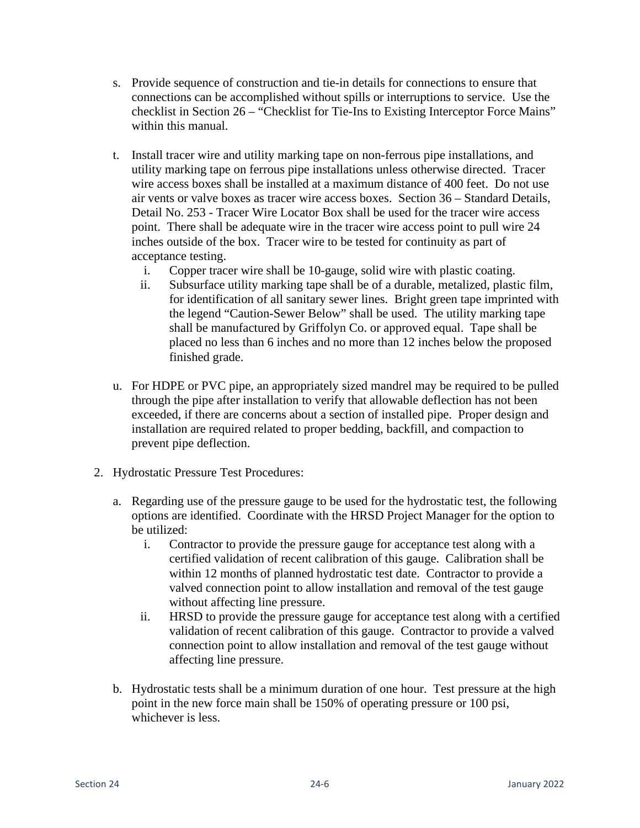- s. Provide sequence of construction and tie-in details for connections to ensure that connections can be accomplished without spills or interruptions to service. Use the checklist in Section 26 – "Checklist for Tie-Ins to Existing Interceptor Force Mains" within this manual.
- t. Install tracer wire and utility marking tape on non-ferrous pipe installations, and utility marking tape on ferrous pipe installations unless otherwise directed. Tracer wire access boxes shall be installed at a maximum distance of 400 feet. Do not use air vents or valve boxes as tracer wire access boxes. Section 36 – Standard Details, Detail No. 253 - Tracer Wire Locator Box shall be used for the tracer wire access point. There shall be adequate wire in the tracer wire access point to pull wire 24 inches outside of the box. Tracer wire to be tested for continuity as part of acceptance testing.
	- i. Copper tracer wire shall be 10-gauge, solid wire with plastic coating.
	- ii. Subsurface utility marking tape shall be of a durable, metalized, plastic film, for identification of all sanitary sewer lines. Bright green tape imprinted with the legend "Caution-Sewer Below" shall be used. The utility marking tape shall be manufactured by Griffolyn Co. or approved equal. Tape shall be placed no less than 6 inches and no more than 12 inches below the proposed finished grade.
- u. For HDPE or PVC pipe, an appropriately sized mandrel may be required to be pulled through the pipe after installation to verify that allowable deflection has not been exceeded, if there are concerns about a section of installed pipe. Proper design and installation are required related to proper bedding, backfill, and compaction to prevent pipe deflection.
- 2. Hydrostatic Pressure Test Procedures:
	- a. Regarding use of the pressure gauge to be used for the hydrostatic test, the following options are identified. Coordinate with the HRSD Project Manager for the option to be utilized:
		- i. Contractor to provide the pressure gauge for acceptance test along with a certified validation of recent calibration of this gauge. Calibration shall be within 12 months of planned hydrostatic test date. Contractor to provide a valved connection point to allow installation and removal of the test gauge without affecting line pressure.
		- ii. HRSD to provide the pressure gauge for acceptance test along with a certified validation of recent calibration of this gauge. Contractor to provide a valved connection point to allow installation and removal of the test gauge without affecting line pressure.
	- b. Hydrostatic tests shall be a minimum duration of one hour. Test pressure at the high point in the new force main shall be 150% of operating pressure or 100 psi, whichever is less.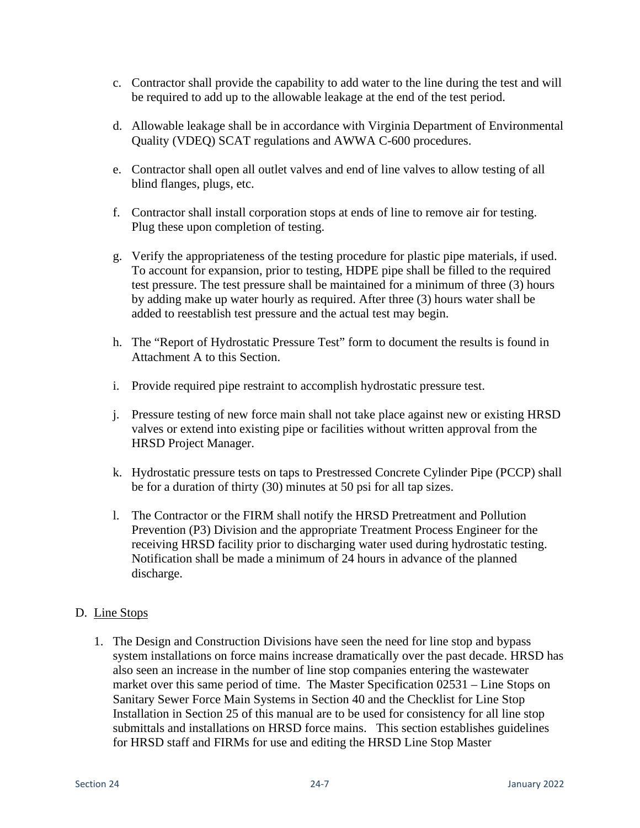- c. Contractor shall provide the capability to add water to the line during the test and will be required to add up to the allowable leakage at the end of the test period.
- d. Allowable leakage shall be in accordance with Virginia Department of Environmental Quality (VDEQ) SCAT regulations and AWWA C-600 procedures.
- e. Contractor shall open all outlet valves and end of line valves to allow testing of all blind flanges, plugs, etc.
- f. Contractor shall install corporation stops at ends of line to remove air for testing. Plug these upon completion of testing.
- g. Verify the appropriateness of the testing procedure for plastic pipe materials, if used. To account for expansion, prior to testing, HDPE pipe shall be filled to the required test pressure. The test pressure shall be maintained for a minimum of three (3) hours by adding make up water hourly as required. After three (3) hours water shall be added to reestablish test pressure and the actual test may begin.
- h. The "Report of Hydrostatic Pressure Test" form to document the results is found in Attachment A to this Section.
- i. Provide required pipe restraint to accomplish hydrostatic pressure test.
- j. Pressure testing of new force main shall not take place against new or existing HRSD valves or extend into existing pipe or facilities without written approval from the HRSD Project Manager.
- k. Hydrostatic pressure tests on taps to Prestressed Concrete Cylinder Pipe (PCCP) shall be for a duration of thirty (30) minutes at 50 psi for all tap sizes.
- l. The Contractor or the FIRM shall notify the HRSD Pretreatment and Pollution Prevention (P3) Division and the appropriate Treatment Process Engineer for the receiving HRSD facility prior to discharging water used during hydrostatic testing. Notification shall be made a minimum of 24 hours in advance of the planned discharge.

#### D. Line Stops

1. The Design and Construction Divisions have seen the need for line stop and bypass system installations on force mains increase dramatically over the past decade. HRSD has also seen an increase in the number of line stop companies entering the wastewater market over this same period of time. The Master Specification 02531 – Line Stops on Sanitary Sewer Force Main Systems in Section 40 and the Checklist for Line Stop Installation in Section 25 of this manual are to be used for consistency for all line stop submittals and installations on HRSD force mains. This section establishes guidelines for HRSD staff and FIRMs for use and editing the HRSD Line Stop Master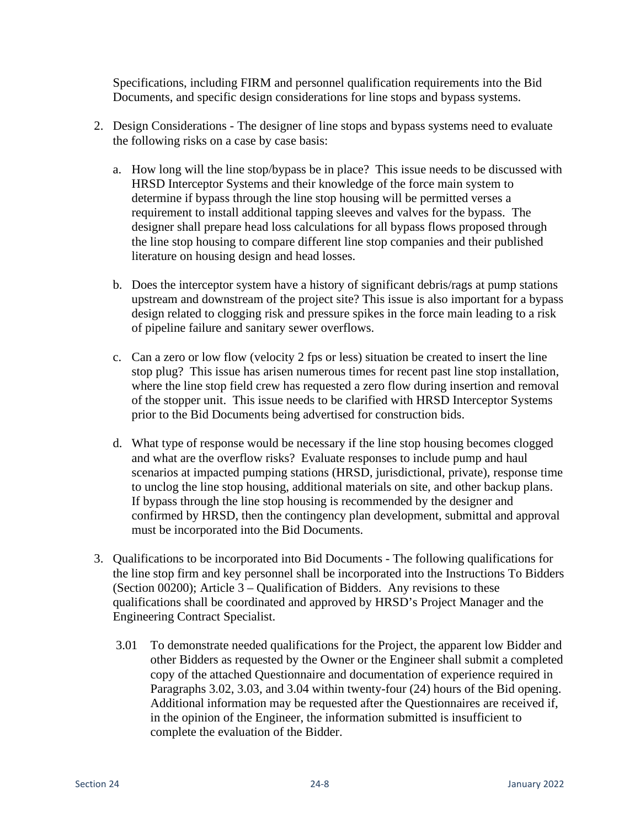Specifications, including FIRM and personnel qualification requirements into the Bid Documents, and specific design considerations for line stops and bypass systems.

- 2. Design Considerations The designer of line stops and bypass systems need to evaluate the following risks on a case by case basis:
	- a. How long will the line stop/bypass be in place? This issue needs to be discussed with HRSD Interceptor Systems and their knowledge of the force main system to determine if bypass through the line stop housing will be permitted verses a requirement to install additional tapping sleeves and valves for the bypass. The designer shall prepare head loss calculations for all bypass flows proposed through the line stop housing to compare different line stop companies and their published literature on housing design and head losses.
	- b. Does the interceptor system have a history of significant debris/rags at pump stations upstream and downstream of the project site? This issue is also important for a bypass design related to clogging risk and pressure spikes in the force main leading to a risk of pipeline failure and sanitary sewer overflows.
	- c. Can a zero or low flow (velocity 2 fps or less) situation be created to insert the line stop plug? This issue has arisen numerous times for recent past line stop installation, where the line stop field crew has requested a zero flow during insertion and removal of the stopper unit. This issue needs to be clarified with HRSD Interceptor Systems prior to the Bid Documents being advertised for construction bids.
	- d. What type of response would be necessary if the line stop housing becomes clogged and what are the overflow risks? Evaluate responses to include pump and haul scenarios at impacted pumping stations (HRSD, jurisdictional, private), response time to unclog the line stop housing, additional materials on site, and other backup plans. If bypass through the line stop housing is recommended by the designer and confirmed by HRSD, then the contingency plan development, submittal and approval must be incorporated into the Bid Documents.
- 3. Qualifications to be incorporated into Bid Documents The following qualifications for the line stop firm and key personnel shall be incorporated into the Instructions To Bidders (Section 00200); Article 3 – Qualification of Bidders. Any revisions to these qualifications shall be coordinated and approved by HRSD's Project Manager and the Engineering Contract Specialist.
	- 3.01 To demonstrate needed qualifications for the Project, the apparent low Bidder and other Bidders as requested by the Owner or the Engineer shall submit a completed copy of the attached Questionnaire and documentation of experience required in Paragraphs 3.02, 3.03, and 3.04 within twenty-four (24) hours of the Bid opening. Additional information may be requested after the Questionnaires are received if, in the opinion of the Engineer, the information submitted is insufficient to complete the evaluation of the Bidder.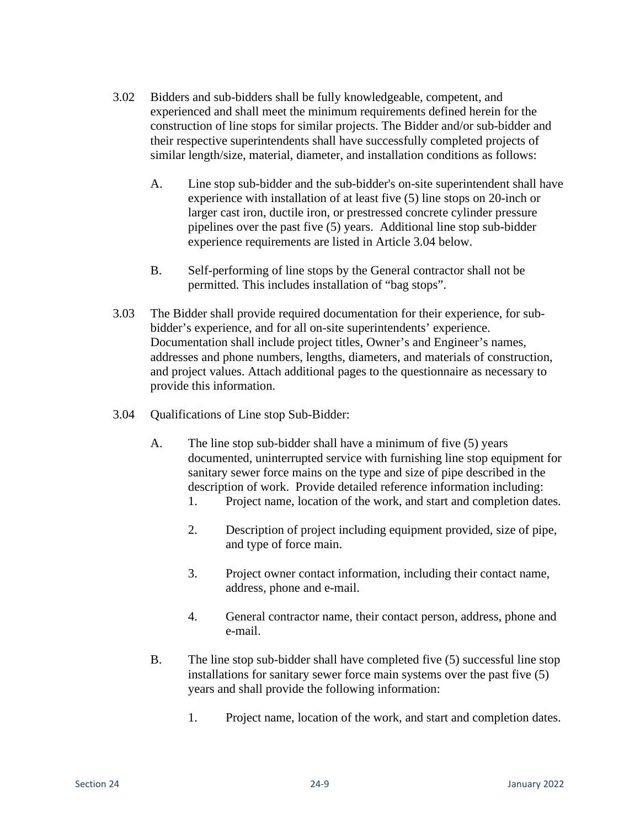- 3.02 Bidders and sub-bidders shall be fully knowledgeable, competent, and experienced and shall meet the minimum requirements defined herein for the construction of line stops for similar projects. The Bidder and/or sub-bidder and their respective superintendents shall have successfully completed projects of similar length/size, material, diameter, and installation conditions as follows:
	- A. Line stop sub-bidder and the sub-bidder's on-site superintendent shall have experience with installation of at least five (5) line stops on 20-inch or larger cast iron, ductile iron, or prestressed concrete cylinder pressure pipelines over the past five (5) years. Additional line stop sub-bidder experience requirements are listed in Article 3.04 below.
	- B. Self-performing of line stops by the General contractor shall not be permitted. This includes installation of "bag stops".
- 3.03 The Bidder shall provide required documentation for their experience, for subbidder's experience, and for all on-site superintendents' experience. Documentation shall include project titles, Owner's and Engineer's names, addresses and phone numbers, lengths, diameters, and materials of construction, and project values. Attach additional pages to the questionnaire as necessary to provide this information.
- 3.04 Qualifications of Line stop Sub-Bidder:
	- A. The line stop sub-bidder shall have a minimum of five (5) years documented, uninterrupted service with furnishing line stop equipment for sanitary sewer force mains on the type and size of pipe described in the description of work. Provide detailed reference information including:
		- 1. Project name, location of the work, and start and completion dates.
		- 2. Description of project including equipment provided, size of pipe, and type of force main.
		- 3. Project owner contact information, including their contact name, address, phone and e-mail.
		- 4. General contractor name, their contact person, address, phone and e-mail.
	- B. The line stop sub-bidder shall have completed five (5) successful line stop installations for sanitary sewer force main systems over the past five (5) years and shall provide the following information:
		- 1. Project name, location of the work, and start and completion dates.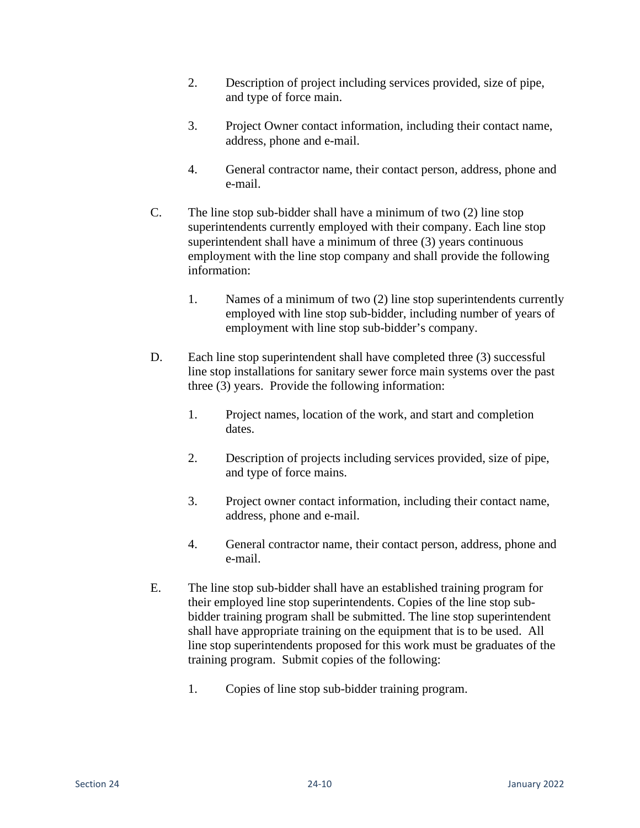- 2. Description of project including services provided, size of pipe, and type of force main.
- 3. Project Owner contact information, including their contact name, address, phone and e-mail.
- 4. General contractor name, their contact person, address, phone and e-mail.
- C. The line stop sub-bidder shall have a minimum of two (2) line stop superintendents currently employed with their company. Each line stop superintendent shall have a minimum of three (3) years continuous employment with the line stop company and shall provide the following information:
	- 1. Names of a minimum of two (2) line stop superintendents currently employed with line stop sub-bidder, including number of years of employment with line stop sub-bidder's company.
- D. Each line stop superintendent shall have completed three (3) successful line stop installations for sanitary sewer force main systems over the past three (3) years. Provide the following information:
	- 1. Project names, location of the work, and start and completion dates.
	- 2. Description of projects including services provided, size of pipe, and type of force mains.
	- 3. Project owner contact information, including their contact name, address, phone and e-mail.
	- 4. General contractor name, their contact person, address, phone and e-mail.
- E. The line stop sub-bidder shall have an established training program for their employed line stop superintendents. Copies of the line stop subbidder training program shall be submitted. The line stop superintendent shall have appropriate training on the equipment that is to be used. All line stop superintendents proposed for this work must be graduates of the training program. Submit copies of the following:
	- 1. Copies of line stop sub-bidder training program.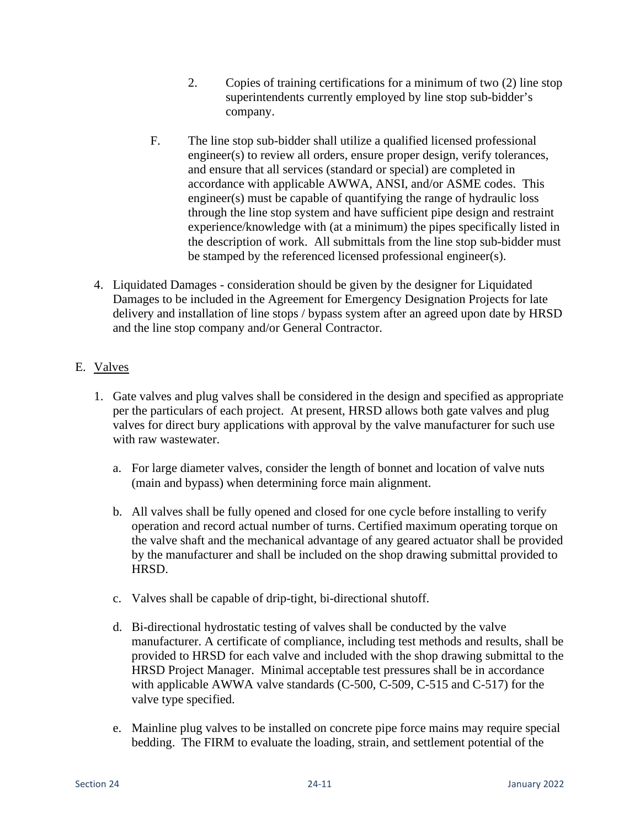- 2. Copies of training certifications for a minimum of two (2) line stop superintendents currently employed by line stop sub-bidder's company.
- F. The line stop sub-bidder shall utilize a qualified licensed professional engineer(s) to review all orders, ensure proper design, verify tolerances, and ensure that all services (standard or special) are completed in accordance with applicable AWWA, ANSI, and/or ASME codes. This engineer(s) must be capable of quantifying the range of hydraulic loss through the line stop system and have sufficient pipe design and restraint experience/knowledge with (at a minimum) the pipes specifically listed in the description of work. All submittals from the line stop sub-bidder must be stamped by the referenced licensed professional engineer(s).
- 4. Liquidated Damages consideration should be given by the designer for Liquidated Damages to be included in the Agreement for Emergency Designation Projects for late delivery and installation of line stops / bypass system after an agreed upon date by HRSD and the line stop company and/or General Contractor.

## E. Valves

- 1. Gate valves and plug valves shall be considered in the design and specified as appropriate per the particulars of each project. At present, HRSD allows both gate valves and plug valves for direct bury applications with approval by the valve manufacturer for such use with raw wastewater.
	- a. For large diameter valves, consider the length of bonnet and location of valve nuts (main and bypass) when determining force main alignment.
	- b. All valves shall be fully opened and closed for one cycle before installing to verify operation and record actual number of turns. Certified maximum operating torque on the valve shaft and the mechanical advantage of any geared actuator shall be provided by the manufacturer and shall be included on the shop drawing submittal provided to HRSD.
	- c. Valves shall be capable of drip-tight, bi-directional shutoff.
	- d. Bi-directional hydrostatic testing of valves shall be conducted by the valve manufacturer. A certificate of compliance, including test methods and results, shall be provided to HRSD for each valve and included with the shop drawing submittal to the HRSD Project Manager. Minimal acceptable test pressures shall be in accordance with applicable AWWA valve standards (C-500, C-509, C-515 and C-517) for the valve type specified.
	- e. Mainline plug valves to be installed on concrete pipe force mains may require special bedding. The FIRM to evaluate the loading, strain, and settlement potential of the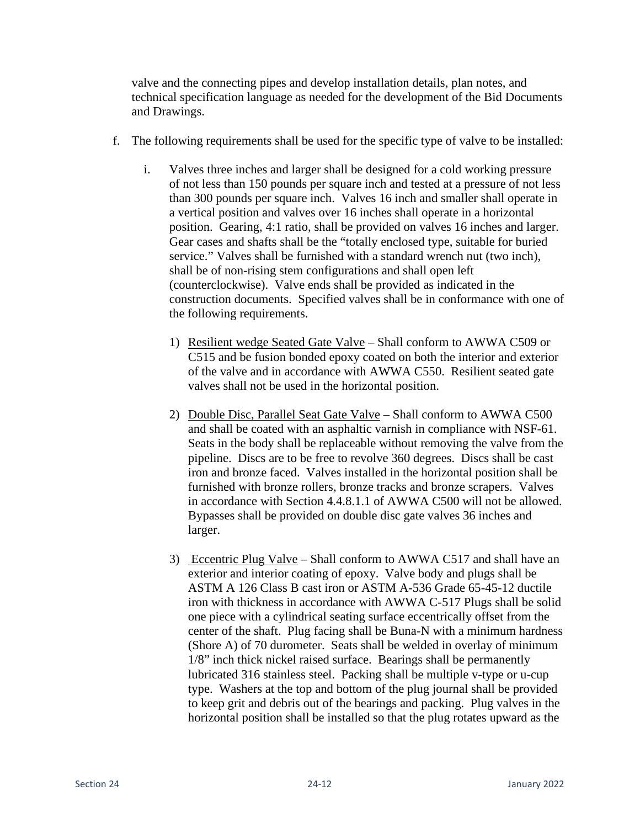valve and the connecting pipes and develop installation details, plan notes, and technical specification language as needed for the development of the Bid Documents and Drawings.

- f. The following requirements shall be used for the specific type of valve to be installed:
	- i. Valves three inches and larger shall be designed for a cold working pressure of not less than 150 pounds per square inch and tested at a pressure of not less than 300 pounds per square inch. Valves 16 inch and smaller shall operate in a vertical position and valves over 16 inches shall operate in a horizontal position. Gearing, 4:1 ratio, shall be provided on valves 16 inches and larger. Gear cases and shafts shall be the "totally enclosed type, suitable for buried service." Valves shall be furnished with a standard wrench nut (two inch), shall be of non-rising stem configurations and shall open left (counterclockwise). Valve ends shall be provided as indicated in the construction documents. Specified valves shall be in conformance with one of the following requirements.
		- 1) Resilient wedge Seated Gate Valve Shall conform to AWWA C509 or C515 and be fusion bonded epoxy coated on both the interior and exterior of the valve and in accordance with AWWA C550. Resilient seated gate valves shall not be used in the horizontal position.
		- 2) Double Disc, Parallel Seat Gate Valve Shall conform to AWWA C500 and shall be coated with an asphaltic varnish in compliance with NSF-61. Seats in the body shall be replaceable without removing the valve from the pipeline. Discs are to be free to revolve 360 degrees. Discs shall be cast iron and bronze faced. Valves installed in the horizontal position shall be furnished with bronze rollers, bronze tracks and bronze scrapers. Valves in accordance with Section 4.4.8.1.1 of AWWA C500 will not be allowed. Bypasses shall be provided on double disc gate valves 36 inches and larger.
		- 3) Eccentric Plug Valve Shall conform to AWWA C517 and shall have an exterior and interior coating of epoxy. Valve body and plugs shall be ASTM A 126 Class B cast iron or ASTM A-536 Grade 65-45-12 ductile iron with thickness in accordance with AWWA C-517 Plugs shall be solid one piece with a cylindrical seating surface eccentrically offset from the center of the shaft. Plug facing shall be Buna-N with a minimum hardness (Shore A) of 70 durometer. Seats shall be welded in overlay of minimum 1/8" inch thick nickel raised surface. Bearings shall be permanently lubricated 316 stainless steel. Packing shall be multiple v-type or u-cup type. Washers at the top and bottom of the plug journal shall be provided to keep grit and debris out of the bearings and packing. Plug valves in the horizontal position shall be installed so that the plug rotates upward as the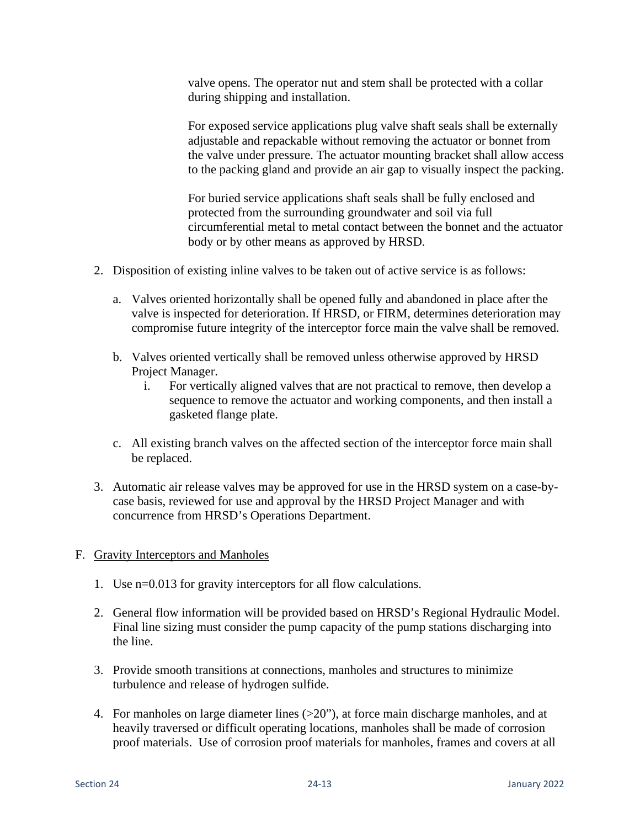valve opens. The operator nut and stem shall be protected with a collar during shipping and installation.

 For exposed service applications plug valve shaft seals shall be externally adjustable and repackable without removing the actuator or bonnet from the valve under pressure. The actuator mounting bracket shall allow access to the packing gland and provide an air gap to visually inspect the packing.

 For buried service applications shaft seals shall be fully enclosed and protected from the surrounding groundwater and soil via full circumferential metal to metal contact between the bonnet and the actuator body or by other means as approved by HRSD.

- 2. Disposition of existing inline valves to be taken out of active service is as follows:
	- a. Valves oriented horizontally shall be opened fully and abandoned in place after the valve is inspected for deterioration. If HRSD, or FIRM, determines deterioration may compromise future integrity of the interceptor force main the valve shall be removed.
	- b. Valves oriented vertically shall be removed unless otherwise approved by HRSD Project Manager.
		- i. For vertically aligned valves that are not practical to remove, then develop a sequence to remove the actuator and working components, and then install a gasketed flange plate.
	- c. All existing branch valves on the affected section of the interceptor force main shall be replaced.
- 3. Automatic air release valves may be approved for use in the HRSD system on a case-bycase basis, reviewed for use and approval by the HRSD Project Manager and with concurrence from HRSD's Operations Department.

#### F. Gravity Interceptors and Manholes

- 1. Use n=0.013 for gravity interceptors for all flow calculations.
- 2. General flow information will be provided based on HRSD's Regional Hydraulic Model. Final line sizing must consider the pump capacity of the pump stations discharging into the line.
- 3. Provide smooth transitions at connections, manholes and structures to minimize turbulence and release of hydrogen sulfide.
- 4. For manholes on large diameter lines  $(>=20)$ ", at force main discharge manholes, and at heavily traversed or difficult operating locations, manholes shall be made of corrosion proof materials. Use of corrosion proof materials for manholes, frames and covers at all